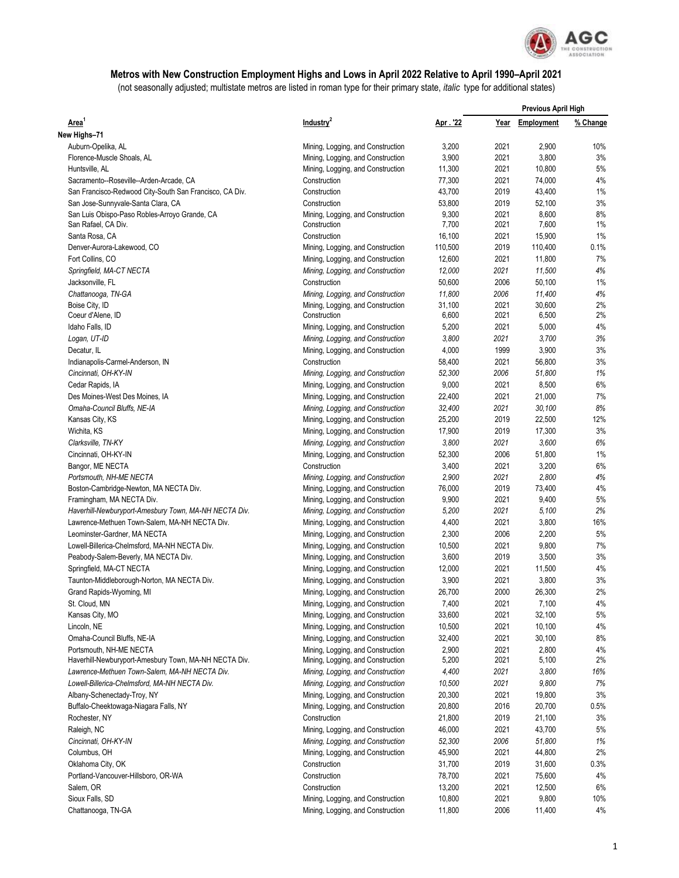

## **Metros with New Construction Employment Highs and Lows in April 2022 Relative to April 1990–April 2021**

(not seasonally adjusted; multistate metros are listed in roman type for their primary state, *italic* type for additional states)

| Area <sup>1</sup>                                                   | Industry <sup>2</sup>                                                  |                 | <b>Previous April High</b> |                   |          |
|---------------------------------------------------------------------|------------------------------------------------------------------------|-----------------|----------------------------|-------------------|----------|
|                                                                     |                                                                        | Apr . '22       | Year                       | <b>Employment</b> | % Change |
| New Highs-71                                                        |                                                                        |                 |                            |                   |          |
| Auburn-Opelika, AL                                                  | Mining, Logging, and Construction                                      | 3,200           | 2021                       | 2,900             | 10%      |
| Florence-Muscle Shoals, AL                                          | Mining, Logging, and Construction                                      | 3,900           | 2021                       | 3,800             | 3%       |
| Huntsville, AL                                                      | Mining, Logging, and Construction                                      | 11,300          | 2021                       | 10,800            | 5%       |
| Sacramento--Roseville--Arden-Arcade, CA                             | Construction                                                           | 77,300          | 2021                       | 74,000            | 4%       |
| San Francisco-Redwood City-South San Francisco, CA Div.             | Construction                                                           | 43,700          | 2019                       | 43,400            | 1%       |
| San Jose-Sunnyvale-Santa Clara, CA                                  | Construction                                                           | 53,800          | 2019                       | 52,100            | 3%       |
| San Luis Obispo-Paso Robles-Arroyo Grande, CA                       | Mining, Logging, and Construction                                      | 9,300           | 2021                       | 8,600             | 8%       |
| San Rafael, CA Div.                                                 | Construction                                                           | 7,700           | 2021                       | 7,600             | 1%       |
| Santa Rosa, CA                                                      | Construction                                                           | 16,100          | 2021                       | 15,900            | 1%       |
| Denver-Aurora-Lakewood, CO                                          | Mining, Logging, and Construction                                      | 110,500         | 2019                       | 110,400           | 0.1%     |
| Fort Collins, CO                                                    | Mining, Logging, and Construction                                      | 12,600          | 2021                       | 11,800            | 7%       |
| Springfield, MA-CT NECTA                                            | Mining, Logging, and Construction                                      | 12,000          | 2021                       | 11,500            | 4%       |
| Jacksonville, FL                                                    | Construction                                                           | 50,600          | 2006                       | 50,100            | 1%       |
| Chattanooga, TN-GA                                                  | Mining, Logging, and Construction                                      | 11,800          | 2006                       | 11,400            | 4%       |
| Boise City, ID                                                      | Mining, Logging, and Construction                                      | 31,100          | 2021                       | 30,600            | 2%       |
| Coeur d'Alene, ID                                                   | Construction                                                           | 6,600           | 2021                       | 6,500             | 2%       |
| Idaho Falls, ID                                                     | Mining, Logging, and Construction                                      | 5,200           | 2021                       | 5,000             | 4%       |
| Logan, UT-ID                                                        | Mining, Logging, and Construction                                      | 3,800           | 2021                       | 3,700             | 3%       |
| Decatur, IL                                                         | Mining, Logging, and Construction                                      | 4,000           | 1999                       | 3,900             | 3%       |
| Indianapolis-Carmel-Anderson, IN                                    | Construction                                                           | 58,400          | 2021                       | 56,800            | 3%       |
| Cincinnati, OH-KY-IN                                                | Mining, Logging, and Construction                                      | 52,300          | 2006                       | 51,800            | 1%       |
| Cedar Rapids, IA                                                    | Mining, Logging, and Construction                                      | 9,000           | 2021                       | 8,500             | $6\%$    |
| Des Moines-West Des Moines, IA                                      | Mining, Logging, and Construction                                      | 22,400          | 2021                       | 21,000            | 7%       |
| Omaha-Council Bluffs, NE-IA                                         | Mining, Logging, and Construction                                      | 32,400          | 2021                       | 30,100            | 8%       |
| Kansas City, KS                                                     | Mining, Logging, and Construction                                      | 25,200          | 2019                       | 22,500            | 12%      |
| Wichita, KS                                                         | Mining, Logging, and Construction                                      | 17,900          | 2019                       | 17,300            | 3%       |
| Clarksville, TN-KY                                                  | Mining, Logging, and Construction                                      | 3,800           | 2021                       | 3,600             | 6%       |
| Cincinnati, OH-KY-IN                                                | Mining, Logging, and Construction                                      | 52,300          | 2006                       | 51,800            | 1%       |
| Bangor, ME NECTA                                                    | Construction                                                           | 3,400           | 2021                       | 3,200             | 6%       |
| Portsmouth, NH-ME NECTA                                             | Mining, Logging, and Construction                                      | 2,900<br>76,000 | 2021<br>2019               | 2,800<br>73,400   | 4%<br>4% |
| Boston-Cambridge-Newton, MA NECTA Div.<br>Framingham, MA NECTA Div. | Mining, Logging, and Construction<br>Mining, Logging, and Construction | 9,900           | 2021                       | 9,400             | 5%       |
| Haverhill-Newburyport-Amesbury Town, MA-NH NECTA Div.               | Mining, Logging, and Construction                                      | 5,200           | 2021                       | 5,100             | 2%       |
| Lawrence-Methuen Town-Salem, MA-NH NECTA Div.                       | Mining, Logging, and Construction                                      | 4,400           | 2021                       | 3,800             | 16%      |
| Leominster-Gardner, MA NECTA                                        | Mining, Logging, and Construction                                      | 2,300           | 2006                       | 2,200             | 5%       |
| Lowell-Billerica-Chelmsford, MA-NH NECTA Div.                       | Mining, Logging, and Construction                                      | 10,500          | 2021                       | 9,800             | 7%       |
| Peabody-Salem-Beverly, MA NECTA Div.                                | Mining, Logging, and Construction                                      | 3,600           | 2019                       | 3,500             | 3%       |
| Springfield, MA-CT NECTA                                            | Mining, Logging, and Construction                                      | 12,000          | 2021                       | 11,500            | 4%       |
| Taunton-Middleborough-Norton, MA NECTA Div.                         | Mining, Logging, and Construction                                      | 3,900           | 2021                       | 3,800             | 3%       |
| Grand Rapids-Wyoming, MI                                            | Mining, Logging, and Construction                                      | 26,700          | 2000                       | 26,300            | 2%       |
| St. Cloud, MN                                                       | Mining, Logging, and Construction                                      | 7,400           | 2021                       | 7,100             | $4\%$    |
| Kansas City, MO                                                     | Mining, Logging, and Construction                                      | 33,600          | 2021                       | 32,100            | 5%       |
| Lincoln, NE                                                         | Mining, Logging, and Construction                                      | 10,500          | 2021                       | 10,100            | 4%       |
| Omaha-Council Bluffs, NE-IA                                         | Mining, Logging, and Construction                                      | 32,400          | 2021                       | 30,100            | 8%       |
| Portsmouth, NH-ME NECTA                                             | Mining, Logging, and Construction                                      | 2,900           | 2021                       | 2,800             | 4%       |
| Haverhill-Newburyport-Amesbury Town, MA-NH NECTA Div.               | Mining, Logging, and Construction                                      | 5,200           | 2021                       | 5,100             | 2%       |
| Lawrence-Methuen Town-Salem, MA-NH NECTA Div.                       | Mining, Logging, and Construction                                      | 4,400           | 2021                       | 3,800             | 16%      |
| Lowell-Billerica-Chelmsford, MA-NH NECTA Div.                       | Mining, Logging, and Construction                                      | 10,500          | 2021                       | 9,800             | 7%       |
| Albany-Schenectady-Troy, NY                                         | Mining, Logging, and Construction                                      | 20,300          | 2021                       | 19,800            | 3%       |
| Buffalo-Cheektowaga-Niagara Falls, NY                               | Mining, Logging, and Construction                                      | 20,800          | 2016                       | 20,700            | 0.5%     |
| Rochester, NY                                                       | Construction                                                           | 21,800          | 2019                       | 21,100            | 3%       |
| Raleigh, NC                                                         | Mining, Logging, and Construction                                      | 46,000          | 2021                       | 43,700            | 5%       |
| Cincinnati, OH-KY-IN                                                | Mining, Logging, and Construction                                      | 52,300          | 2006                       | 51,800            | 1%       |
| Columbus, OH                                                        | Mining, Logging, and Construction                                      | 45,900          | 2021                       | 44,800            | 2%       |
| Oklahoma City, OK                                                   | Construction                                                           | 31,700          | 2019                       | 31,600            | 0.3%     |
| Portland-Vancouver-Hillsboro, OR-WA                                 | Construction                                                           | 78,700          | 2021                       | 75,600            | 4%       |
| Salem, OR                                                           | Construction                                                           | 13,200          | 2021                       | 12,500            | 6%       |
| Sioux Falls, SD                                                     | Mining, Logging, and Construction                                      | 10,800          | 2021                       | 9,800             | 10%      |
| Chattanooga, TN-GA                                                  | Mining, Logging, and Construction                                      | 11,800          | 2006                       | 11,400            | 4%       |